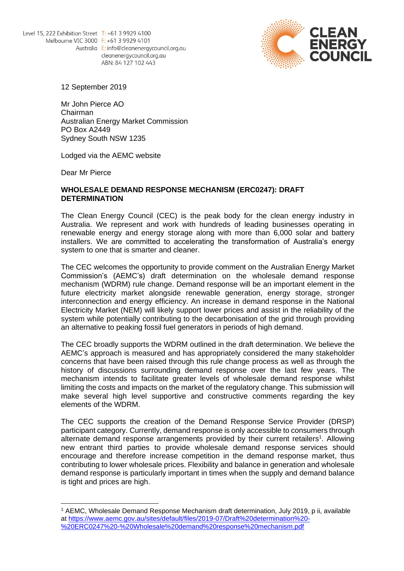

12 September 2019

Mr John Pierce AO Chairman Australian Energy Market Commission PO Box A2449 Sydney South NSW 1235

Lodged via the AEMC website

Dear Mr Pierce

## **WHOLESALE DEMAND RESPONSE MECHANISM (ERC0247): DRAFT DETERMINATION**

The Clean Energy Council (CEC) is the peak body for the clean energy industry in Australia. We represent and work with hundreds of leading businesses operating in renewable energy and energy storage along with more than 6,000 solar and battery installers. We are committed to accelerating the transformation of Australia's energy system to one that is smarter and cleaner.

The CEC welcomes the opportunity to provide comment on the Australian Energy Market Commission's (AEMC's) draft determination on the wholesale demand response mechanism (WDRM) rule change. Demand response will be an important element in the future electricity market alongside renewable generation, energy storage, stronger interconnection and energy efficiency. An increase in demand response in the National Electricity Market (NEM) will likely support lower prices and assist in the reliability of the system while potentially contributing to the decarbonisation of the grid through providing an alternative to peaking fossil fuel generators in periods of high demand.

The CEC broadly supports the WDRM outlined in the draft determination. We believe the AEMC's approach is measured and has appropriately considered the many stakeholder concerns that have been raised through this rule change process as well as through the history of discussions surrounding demand response over the last few years. The mechanism intends to facilitate greater levels of wholesale demand response whilst limiting the costs and impacts on the market of the regulatory change. This submission will make several high level supportive and constructive comments regarding the key elements of the WDRM.

The CEC supports the creation of the Demand Response Service Provider (DRSP) participant category. Currently, demand response is only accessible to consumers through alternate demand response arrangements provided by their current retailers<sup>1</sup>. Allowing new entrant third parties to provide wholesale demand response services should encourage and therefore increase competition in the demand response market, thus contributing to lower wholesale prices. Flexibility and balance in generation and wholesale demand response is particularly important in times when the supply and demand balance is tight and prices are high.

<sup>1</sup> AEMC, Wholesale Demand Response Mechanism draft determination, July 2019, p ii, available at [https://www.aemc.gov.au/sites/default/files/2019-07/Draft%20determination%20-](https://www.aemc.gov.au/sites/default/files/2019-07/Draft%20determination%20-%20ERC0247%20-%20Wholesale%20demand%20response%20mechanism.pdf) [%20ERC0247%20-%20Wholesale%20demand%20response%20mechanism.pdf](https://www.aemc.gov.au/sites/default/files/2019-07/Draft%20determination%20-%20ERC0247%20-%20Wholesale%20demand%20response%20mechanism.pdf)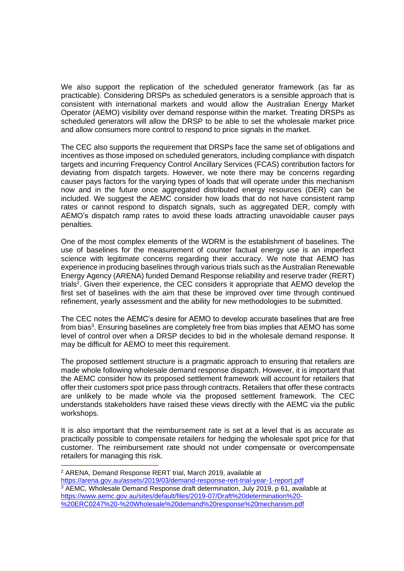We also support the replication of the scheduled generator framework (as far as practicable). Considering DRSPs as scheduled generators is a sensible approach that is consistent with international markets and would allow the Australian Energy Market Operator (AEMO) visibility over demand response within the market. Treating DRSPs as scheduled generators will allow the DRSP to be able to set the wholesale market price and allow consumers more control to respond to price signals in the market.

The CEC also supports the requirement that DRSPs face the same set of obligations and incentives as those imposed on scheduled generators, including compliance with dispatch targets and incurring Frequency Control Ancillary Services (FCAS) contribution factors for deviating from dispatch targets. However, we note there may be concerns regarding causer pays factors for the varying types of loads that will operate under this mechanism now and in the future once aggregated distributed energy resources (DER) can be included. We suggest the AEMC consider how loads that do not have consistent ramp rates or cannot respond to dispatch signals, such as aggregated DER, comply with AEMO's dispatch ramp rates to avoid these loads attracting unavoidable causer pays penalties.

One of the most complex elements of the WDRM is the establishment of baselines. The use of baselines for the measurement of counter factual energy use is an imperfect science with legitimate concerns regarding their accuracy. We note that AEMO has experience in producing baselines through various trials such as the Australian Renewable Energy Agency (ARENA) funded Demand Response reliability and reserve trader (RERT) trials<sup>2</sup>. Given their experience, the CEC considers it appropriate that AEMO develop the first set of baselines with the aim that these be improved over time through continued refinement, yearly assessment and the ability for new methodologies to be submitted.

The CEC notes the AEMC's desire for AEMO to develop accurate baselines that are free from bias<sup>3</sup>. Ensuring baselines are completely free from bias implies that AEMO has some level of control over when a DRSP decides to bid in the wholesale demand response. It may be difficult for AEMO to meet this requirement.

The proposed settlement structure is a pragmatic approach to ensuring that retailers are made whole following wholesale demand response dispatch. However, it is important that the AEMC consider how its proposed settlement framework will account for retailers that offer their customers spot price pass through contracts. Retailers that offer these contracts are unlikely to be made whole via the proposed settlement framework. The CEC understands stakeholders have raised these views directly with the AEMC via the public workshops.

It is also important that the reimbursement rate is set at a level that is as accurate as practically possible to compensate retailers for hedging the wholesale spot price for that customer. The reimbursement rate should not under compensate or overcompensate retailers for managing this risk.

<sup>2</sup> ARENA, Demand Response RERT trial, March 2019, available at <https://arena.gov.au/assets/2019/03/demand-response-rert-trial-year-1-report.pdf> <sup>3</sup> AEMC, Wholesale Demand Response draft determination, July 2019, p 61, available at [https://www.aemc.gov.au/sites/default/files/2019-07/Draft%20determination%20-](https://www.aemc.gov.au/sites/default/files/2019-07/Draft%20determination%20-%20ERC0247%20-%20Wholesale%20demand%20response%20mechanism.pdf) [%20ERC0247%20-%20Wholesale%20demand%20response%20mechanism.pdf](https://www.aemc.gov.au/sites/default/files/2019-07/Draft%20determination%20-%20ERC0247%20-%20Wholesale%20demand%20response%20mechanism.pdf)